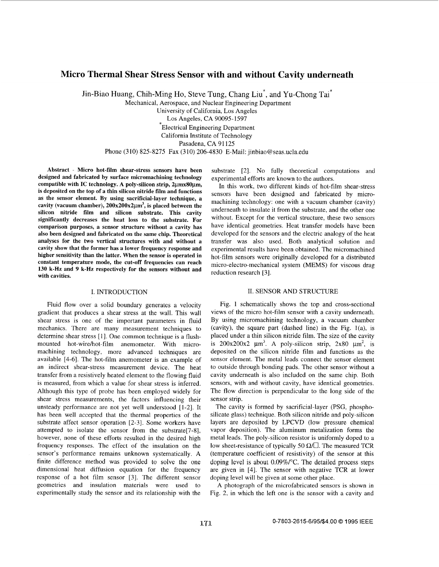# **Micro Thermal Shear Stress Sensor with and without Cavity underneath**

Jin-Biao Huang, Chih-Ming Ho, Steve Tung, Chang Liu<sup>\*</sup>, and Yu-Chong Tai<sup>\*</sup>

Mechanical, Aerospace, and Nuclear Engineering Department

University of California, Los Angeles Los Angeles, CA 90095- 1597 \*Electrical Engineering Department California Institute of Technology Pasadena, CA 91125 Phone (310) 825-8275 Fax (310) 206-4830 E-Mail: [jinbiao@seas.ucla.edu](mailto:jinbiao@seas.ucla.edu)

**Abstract** - **Micro hot-film shear-stress sensors have been designed and fabricated by surface micromachining technology**  compatible with IC technology. A poly-silicon strip,  $2\mu$ mx80 $\mu$ m, **is deposited on the top of a thin silicon nitride film and functions as the sensor element. By using sacrificial-layer technique, a**  cavity (vacuum chamber),  $200x200x2\mu m^3$ , is placed between the **silicon nitride film and silicon substrate. This cavity significantly decreases the heat loss to the substrate. For comparison purposes, a sensor structure without a cavity has also been designed and fabricated on the same chip. Theoretical analyses for the two vertical structures with and without a cavity show that the former has a lower frequency response and higher sensitivity than the latter. When the sensor is operated in constant temperature mode, the cut-off frequencies can reach 130 k-Hz and 9 k-Hz respectively for the sensors without and with cavities.** 

## I. INTRODUCTION

Fluid flow over a solid boundary generates a velocity gradient that produces a shear stress at the wall. This wall shear stress is one of the important parameters in fluid mechanics. There are many measurement techniques to determine shear stress [I]. One common technique is a flushmounted hot-wire/hot-film anemometer. With micromachining technology, more advanced techniques are available [4-61. The hot-film anemometer is an example of an indirect shear-stress measurement device. The heat transfer from a resistively heated element to the flowing fluid is measured, from which a value for shear stress is inferred. Although this type of probe has been employed widely for shear stress measurements, the factors influencing their unsteady performance are not yet well understood [l-21. It has been well accepted that the thermal properties of the substrate affect sensor operation [2-3]. Some workers have attempted to isolate the sensor from the substrate[7-8], however, none of these efforts resulted in the desired high frequency responses. The effect of the insulation on the sensor's performance remains unknown systematically. A finite difference method was provided to solve the one dimensional heat diffusion equation for the frequency response of a hot film sensor *[3].* The different sensor geometries and insulation materials were used to experimentally study the sensor and its relationship with the

substrate [2]. No fully theoretical computations and experimental efforts are known to the authors.

In this work, two different kinds of hot-film shear-stress sensors have been designed and fabricated by micromachining technology: one with a vacuum chamber (cavity) underneath to insulate it from the substrate, and the other one without. Except for the vertical structure, these two sensors have identical geometries. Heat transfer models have beem developed for the sensors and the electric analogy of the heat transfer was also used. Both analytical solution anld experimental results have been obtained. The micromachined hot-film sensors were originally developed for a distributed micro-electro-mechanical system (MEMS) for viscous drag reduction research [3].

### 11. SENSOR AND STRUCTURE

[Fig. 1](#page-1-0) schematically shows the top and cross-sectional views of the micro hot-film sensor with a cavity underneath. By using micromachining technology, a vacuum chamber (cavity), the square part (dashed line) in the Fig.  $1(a)$ , is placed under a thin silicon nitride film. The size of the cavity is  $200x200x2 \mu m^3$ . A poly-silicon strip,  $2x80 \mu m^2$ , is deposited on the silicon nitride film and functions as the sensor element. The metal leads connect the sensor element to outside through bonding pads. The other sensor without a cavity underneath is also included on the same chip. Both sensors, with and without cavity, have identical geometries. The flow direction is perpendicular to the long side of the sensor strip.

The cavity is formed by sacrificial-layer (PSG, phosphosilicate glass) technique. Both silicon nitride and poly-silicon layers are deposited by LPCVD (low pressure chemical vapor deposition). The aluminum metalization forms the metal leads. The poly-silicon resistor is uniformly doped to a low sheet-resistance of typically 50  $\Omega/\square$ . The measured TCR (temperature coefficient of resistivity) of the sensor at this doping level is about 0,09%/"C. The detailed process steps are given in [4]. The sensor with negative TCR at lower doping level will be given at some other place.

**A** photograph of the microfabricated sensors is shown in Fig. 2, in which the left one is the sensor with a cavity and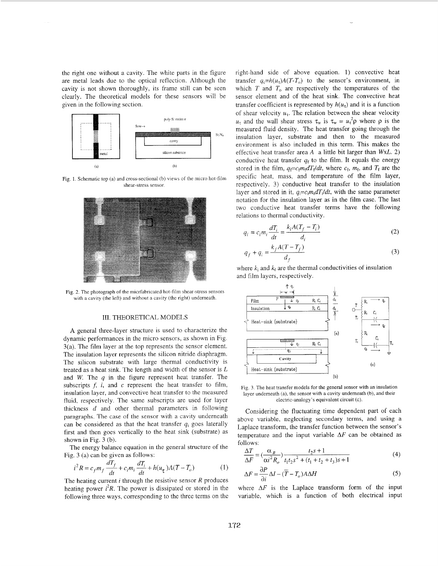<span id="page-1-0"></span>the right one without a cavity. The white parts in the figure are metal leads due to the optical reflection. Although the cavity is not shown thoroughly, its frame still can be seen clearly. The theoretical models for these sensors will be given in the following section.



Fig. 1. Schematic top (a) and cross-sectional (b) views of the micro hot-film shear-stress sensor



Fig. 2. The photograph of the micrfabricated hot-film shear-stress sensors with a cavity (the left) and without a cavity (the right) underneath.

#### 111. THEORETICAL MODELS

**A** general three-layer structure is used to characterize the dynamic performances in the micro sensors, as shown in Fig. 3(a). The film layer at the top represents the sensor element. The insulation layer represents the silicon nitride diaphragm. The silicon substrate with large thermal conductivity is treated as a heat sink. The length and width of the sensor is *L*  and *W.* The *q* in the figure represent heat transfer. The subscripts  $f$ ,  $i$ , and  $c$  represent the heat transfer to film, insulation layer, and convective heat transfer to the measured fluid, respectively. The same subscripts are used for layer thickness *d* and other thermal parameters in following paragraphs. The case of the sensor with a cavity underneath can be considered as that the heat transfer  $q_i$  goes laterally first and then goes vertically to the heat sink (substrate) as shown in Fig. 3 (b).

The energy balance equation in the general structure of the Fig. 3 (a) can be given as follows:

$$
i^2 R = c_f m_f \frac{dT_f}{dt} + c_i m_i \frac{dT_i}{dt} + h(u_\tau)A(T - T_o)
$$
 (1)

The heating current *i* through the resistive sensor *R* produces heating power  $i^2R$ . The power is dissipated or stored in the following three ways, corresponding to the three terms on the right-hand side of above equation. 1) convective heat transfer  $q_c=h(u_t)A(T-T_o)$  to the sensor's environment, in which  $T$  and  $T_0$  are respectively the temperatures of the sensor element and of the heat sink. The convective heat transfer coefficient is represented by  $h(u_t)$  and it is a function of shear velocity  $u_{\tau}$ . The relation between the shear velocity  $u_{\tau}$  and the wall shear stress  $\tau_w$  is  $\tau_w = u_{\tau}^2 \rho$  where  $\rho$  is the measured fluid density. The heat transfer going through the insulation layer, substrate and then to the measured environment is also included in this term. This makes the effective heat transfer area  $A$  a little bit larger than  $WxL$ . 2) conductive heat transfer  $q_f$  to the film. It equals the energy stored in the film,  $q_f = c_f m_f dT_f/dt$ , where  $c_f$ ,  $m_f$ , and  $T_f$  are the specific heat, mass, and temperature of the film layer, respectively. 3) conductive heat transfer to the insulation layer and stored in it,  $q_i = c_i m_i dT_i/dt$ , with the same parameter notation for the insulation layer as in the film case. The last two conductive heat transfer terms have the following relations to thermal conductivity.

$$
q_i = c_i m_i \frac{dT_i}{dt} = \frac{k_i A (T_f - T_i)}{d_i}
$$
 (2)

$$
q_f + q_i = \frac{k_f A (T - T_f)}{d_f} \tag{3}
$$

and film layers, respectively.



Fig. *3.* The heat transfer models for the general sensor with an insulation layer undemeath (a), the sensor with a cavity undemeath (b), and their electric-analogy's equivalent circuit (c).

Considering the fluctuating time dependent part of each above variable, neglecting secondary terms, and using a Laplace transform, the transfer function between the sensor's temperature and the input variable  $\Delta F$  can be obtained as follows:

$$
\frac{\Delta T}{\Delta F} = \left(\frac{\alpha_R}{\alpha i^2 R_o}\right) \frac{t_2 s + 1}{t_1 t_2 s^2 + (t_1 + t_2 + t_3) s + 1} \tag{4}
$$

$$
\Delta F = \frac{\partial P}{\partial i} \Delta I - (\overline{T} - T_o) A \Delta H \tag{5}
$$

where  $\Delta F$  is the Laplace transform form of the input variable, which is a function of both electrical input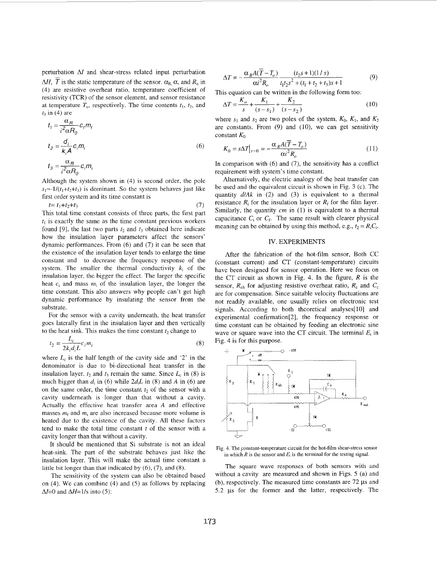perturbation **AI** and shear-stress related input perturbation  $\Delta H$ ,  $\overline{T}$  is the static temperature of the sensor.  $\alpha_{R}$ ,  $\alpha$ , and  $R_o$  in (4) are resistive overheat ratio, temperature coefficicnt of resistivity (TCR) of the sensor element, and sensor resistance at temperature  $T_0$ , respectively. The time contents  $t_1$ ,  $t_2$ , and  $t_3$  in (4) are

$$
t_{1} = \frac{\alpha_{R}}{i^{2} \alpha R_{0}} c_{f} m_{f}
$$
  
\n
$$
t_{2} = \frac{d_{i}}{k_{i} A} c_{i} m_{i}
$$
  
\n
$$
t_{3} = \frac{\alpha_{R}}{i^{2} \alpha R_{0}} c_{i} m_{i}
$$
\n(6)

Although the system shown in (4) is second order, the pole  $s_1 \approx -1/(t_1+t_2+t_3)$  is dominant. So the system behaves just like first order system and its time constant is

$$
t = t_1 + t_2 + t_3 \tag{7}
$$

This total time constant consists of three parts, the first part  $t_1$  is exactly the same as the time constant previous workers found [9], the last two parts  $t_2$  and  $t_3$  obtained here indicate how the insulation layer parameters affect the sensors' dynamic performances. From (6) and (7) it can be seen that the existence of the insulation layer tends to enlarge the time constant and to decrease the frequency response of the system. The smaller the thermal conductivity  $k_i$  of the insulation layer, the bigger the effect. The larger the specific heat  $c_i$  and mass  $m_i$  of the insulation layer, the longer the time constant. This also answers why people can't get high dynamic performance by insulating the sensor from the substrate.

For the sensor with a cavity underneath, the heat transfer goes laterally first in the insulation layer and then vertically to the heat sink. This makes the time constant  $t_2$  change to

$$
t_2 = \frac{L_c}{2k_i d_i L} c_i m_i \tag{8}
$$

where  $L_c$  is the half length of the cavity side and '2' in the denominator is due to bi-directional heat transfer in the insulation layer.  $t_2$  and  $t_3$  remain the same. Since  $L_c$  in (8) is much bigger than  $d_i$  in (6) while  $2d_iL$  in (8) and A in (6) are on the same order, the time constant  $t<sub>2</sub>$  of the sensor with a cavity underneath is longer than that without a cavity. Actually the effective heat transfer area **A** and effective masses  $m_f$  and  $m_i$  are also increased because more volume is heated due to the existence of the cavity. All these factors tend to make the total time constant *t* of the sensor with a cavity longer than that without a cavity.

It should be mentioned that Si substrate is not an ideal heat-sink. The part of the substrate behaves just like the insulation layer. This will make the actual time constant a little bit longer than that indicated by (6), *(7),* and (8).

The sensitivity of the system can also be obtained based on **(4).** We can combine (4) and (5) as follows by replacing  $\Delta I=0$  and  $\Delta H=1/s$  into (5):

$$
\Delta T = -\frac{\alpha_R A(\overline{T} - T_o)}{\alpha t^2 R_o} \frac{(t_2 s + 1)(1/s)}{t_1 t_2 s^2 + (t_1 + t_2 + t_3)s + 1}
$$
(9)

This equation can be written in the following form too:

$$
\Delta T = \frac{K_o}{s} + \frac{K_1}{(s - s_1)} + \frac{K_2}{(s - s_2)}
$$
(10)

where  $s_1$  and  $s_2$  are two poles of the system,  $K_0$ ,  $K_1$ , and  $K_2$ are constants. From  $(9)$  and  $(10)$ , we can get sensitivity constant  $K_0$ 

$$
K_0 = s\Delta T|_{s=0} = -\frac{\alpha_R A(\overline{T} - T_o)}{\alpha i^2 R_o}
$$
\n(11)

In comparison with (6) and *(7),* the sensitivity has a conflict requirement with system's time constant.

Alternatively, the electric analogy of the heat transfer can be used and the equivalent circuit is shown in [Fig. 3](#page-1-0) (c). The quantity *dlAk* in (2) and (3) is equivalent to a thermal resistance  $R_i$  for the insulation layer or  $R_f$  for the film layer. Similarly, the quantity *cm* in (1) is equivalent to a thermal capacitance  $C_i$  or  $C_f$ . The same result with clearer physical meaning can be obtained by using this method, e.g.,  $t_2 = R_i C_i$ .

## IV. EXPERIMENTS

After the fabrication of the hot-film sensor, Both CC (constant current) and CT (constant-temperature) circuits have been designed for sensor operation. Here we focus on the CT circuit as shown in Fig. 4. In the figure, *R* is the sensor,  $R_{oh}$  for adjusting resistive overheat ratio,  $R_c$  and  $C_c$ are for compensation. Since suitable velocity fluctuations are not readily available, one usually relies on electronic test signals. According to both theoretical analyses[10] and experimental confirmation[2], the frequency response or time constant can be obtained by feeding an electronic sine wave or square wave into the CT circuit. The terminal  $E_t$  in Fig. 4 is for this purpose.



Fig. 4. The constant-temperature circuit for the hot-film shear-stress sensor in which  $R$  is the sensor and  $E_t$  is the terminal for the testing signal.

The square wave responses of both sensors with and without a cavity are measured and shown in Figs. 5 (a) and (b), respectively. The measured time constants are 72 **ps** and 5.2 **ps** for the former and the latter, respectively. The